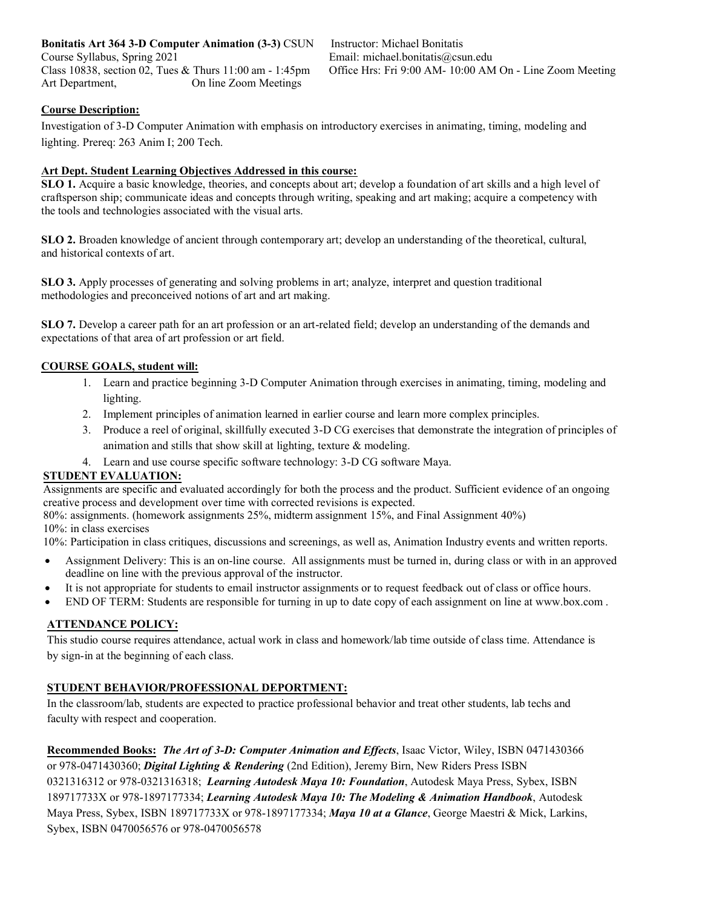**Bonitatis Art 364 3-D Computer Animation (3-3)** CSUN Course Syllabus, Spring 2021 Class 10838, section 02, Tues & Thurs 11:00 am - 1:45pm Art Department, On line Zoom Meetings

Instructor: Michael Bonitatis Email: michael.bonitatis@csun.edu Office Hrs: Fri 9:00 AM- 10:00 AM On - Line Zoom Meeting

# **Course Description:**

Investigation of 3-D Computer Animation with emphasis on introductory exercises in animating, timing, modeling and lighting. Prereq: 263 Anim I; 200 Tech.

#### **Art Dept. Student Learning Objectives Addressed in this course:**

**SLO 1.** Acquire a basic knowledge, theories, and concepts about art; develop a foundation of art skills and a high level of craftsperson ship; communicate ideas and concepts through writing, speaking and art making; acquire a competency with the tools and technologies associated with the visual arts.

**SLO 2.** Broaden knowledge of ancient through contemporary art; develop an understanding of the theoretical, cultural, and historical contexts of art.

**SLO 3.** Apply processes of generating and solving problems in art; analyze, interpret and question traditional methodologies and preconceived notions of art and art making.

**SLO 7.** Develop a career path for an art profession or an art-related field; develop an understanding of the demands and expectations of that area of art profession or art field.

#### **COURSE GOALS, student will:**

- 1. Learn and practice beginning 3-D Computer Animation through exercises in animating, timing, modeling and lighting.
- 2. Implement principles of animation learned in earlier course and learn more complex principles.
- 3. Produce a reel of original, skillfully executed 3-D CG exercises that demonstrate the integration of principles of animation and stills that show skill at lighting, texture & modeling.
- 4. Learn and use course specific software technology: 3-D CG software Maya.

# **STUDENT EVALUATION:**

Assignments are specific and evaluated accordingly for both the process and the product. Sufficient evidence of an ongoing creative process and development over time with corrected revisions is expected.

80%: assignments. (homework assignments 25%, midterm assignment 15%, and Final Assignment 40%) 10%: in class exercises

10%: Participation in class critiques, discussions and screenings, as well as, Animation Industry events and written reports.

- Assignment Delivery: This is an on-line course. All assignments must be turned in, during class or with in an approved deadline on line with the previous approval of the instructor.
- It is not appropriate for students to email instructor assignments or to request feedback out of class or office hours.
- END OF TERM: Students are responsible for turning in up to date copy of each assignment on line at www.box.com .

# **ATTENDANCE POLICY:**

This studio course requires attendance, actual work in class and homework/lab time outside of class time. Attendance is by sign-in at the beginning of each class.

# **STUDENT BEHAVIOR/PROFESSIONAL DEPORTMENT:**

In the classroom/lab, students are expected to practice professional behavior and treat other students, lab techs and faculty with respect and cooperation.

**Recommended Books:** *The Art of 3-D: Computer Animation and Effects*, Isaac Victor, Wiley, ISBN 0471430366 or 978-0471430360; *Digital Lighting & Rendering* (2nd Edition), Jeremy Birn, New Riders Press ISBN 0321316312 or 978-0321316318; *Learning Autodesk Maya 10: Foundation*, Autodesk Maya Press, Sybex, ISBN 189717733X or 978-1897177334; *Learning Autodesk Maya 10: The Modeling & Animation Handbook*, Autodesk Maya Press, Sybex, ISBN 189717733X or 978-1897177334; *Maya 10 at a Glance*, George Maestri & Mick, Larkins, Sybex, ISBN 0470056576 or 978-0470056578